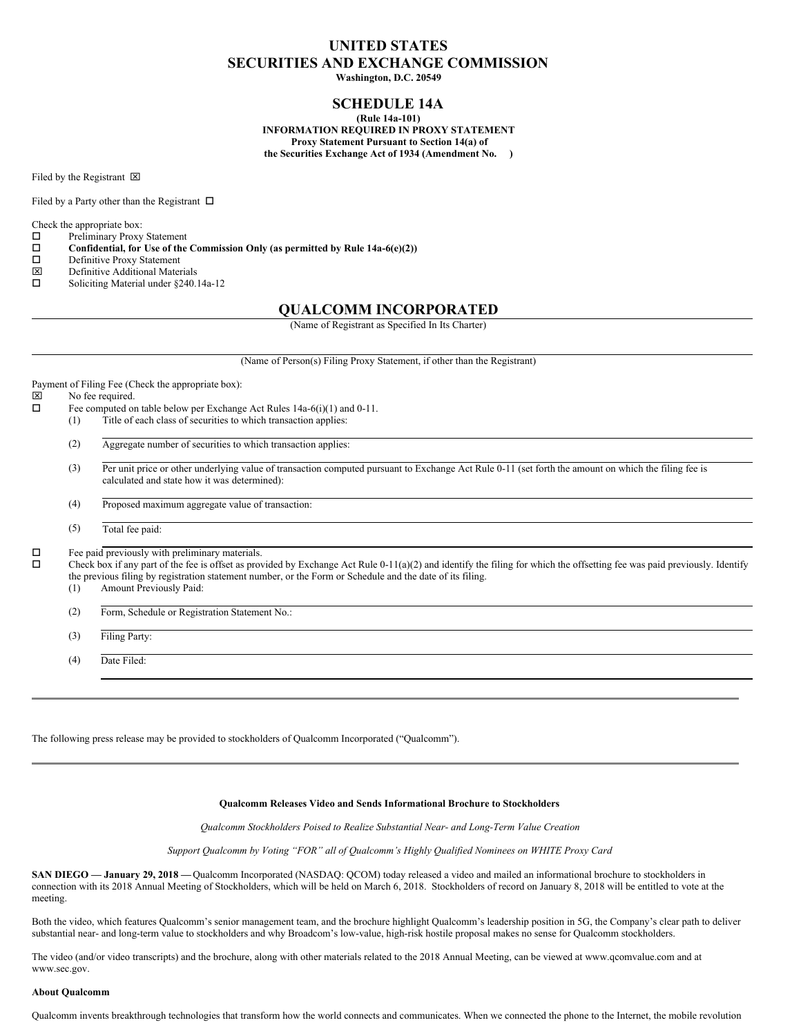# **UNITED STATES SECURITIES AND EXCHANGE COMMISSION**

**Washington, D.C. 20549**

## **SCHEDULE 14A**

**(Rule 14a-101) INFORMATION REQUIRED IN PROXY STATEMENT Proxy Statement Pursuant to Section 14(a) of the Securities Exchange Act of 1934 (Amendment No. )**

Filed by the Registrant  $\boxtimes$ 

Filed by a Party other than the Registrant  $\Box$ 

Check the appropriate box:<br> $\Box$  Preliminary Proxy

- Preliminary Proxy Statement
- $\square$  Confidential, for Use of the Commission Only (as permitted by Rule 14a-6(e)(2))<br> $\square$  Definitive Proxy Statement
- $\square$  Definitive Proxy Statement<br>  $\square$  Definitive Additional Mater
- 
- $\boxtimes$  Definitive Additional Materials<br>  $\square$  Soliciting Material under §240. Soliciting Material under §240.14a-12

## **QUALCOMM INCORPORATED**

(Name of Registrant as Specified In Its Charter)

(Name of Person(s) Filing Proxy Statement, if other than the Registrant)

Payment of Filing Fee (Check the appropriate box):

- $\boxtimes$  No fee required.<br> $\Box$  Fee computed or
	- Fee computed on table below per Exchange Act Rules 14a-6(i)(1) and 0-11.
	- (1) Title of each class of securities to which transaction applies:
		- (2) Aggregate number of securities to which transaction applies:
		- (3) Per unit price or other underlying value of transaction computed pursuant to Exchange Act Rule 0-11 (set forth the amount on which the filing fee is calculated and state how it was determined):
		- (4) Proposed maximum aggregate value of transaction:
		- (5) Total fee paid:

 $\square$  Fee paid previously with preliminary materials.<br> $\square$  Check box if any part of the fee is offset as pro-

o Check box if any part of the fee is offset as provided by Exchange Act Rule 0-11(a)(2) and identify the filing for which the offsetting fee was paid previously. Identify the previous filing by registration statement number, or the Form or Schedule and the date of its filing.

- (1) Amount Previously Paid:
- (2) Form, Schedule or Registration Statement No.:
- (3) Filing Party:

(4) Date Filed:

The following press release may be provided to stockholders of Qualcomm Incorporated ("Qualcomm").

#### **Qualcomm Releases Video and Sends Informational Brochure to Stockholders**

*Qualcomm Stockholders Poised to Realize Substantial Near- and Long-Term Value Creation*

*Support Qualcomm by Voting "FOR" all of Qualcomm's Highly Qualified Nominees on WHITE Proxy Card*

**SAN DIEGO — January 29, 2018 —**Qualcomm Incorporated (NASDAQ: QCOM) today released a video and mailed an informational brochure to stockholders in connection with its 2018 Annual Meeting of Stockholders, which will be held on March 6, 2018. Stockholders of record on January 8, 2018 will be entitled to vote at the meeting.

Both the video, which features Qualcomm's senior management team, and the brochure highlight Qualcomm's leadership position in 5G, the Company's clear path to deliver substantial near- and long-term value to stockholders and why Broadcom's low-value, high-risk hostile proposal makes no sense for Qualcomm stockholders.

The video (and/or video transcripts) and the brochure, along with other materials related to the 2018 Annual Meeting, can be viewed at www.qcomvalue.com and at www.sec.gov.

#### **About Qualcomm**

Qualcomm invents breakthrough technologies that transform how the world connects and communicates. When we connected the phone to the Internet, the mobile revolution